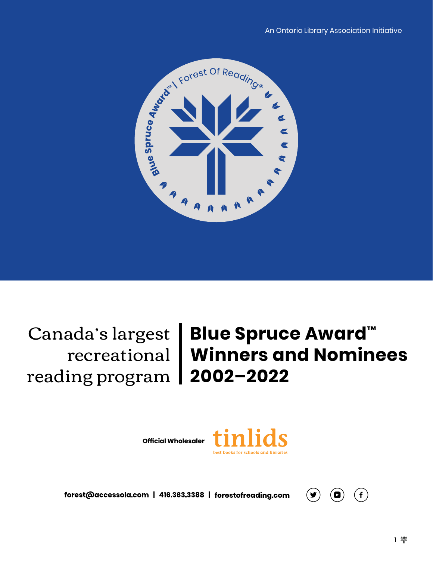

reading program **2002–2022**

# Canada's largest **Blue Spruce Award™** recreational **Winners and Nominees**

**Official Wholesaler**



forest@accessola.com | 416.363.3388 | forestofreading.com

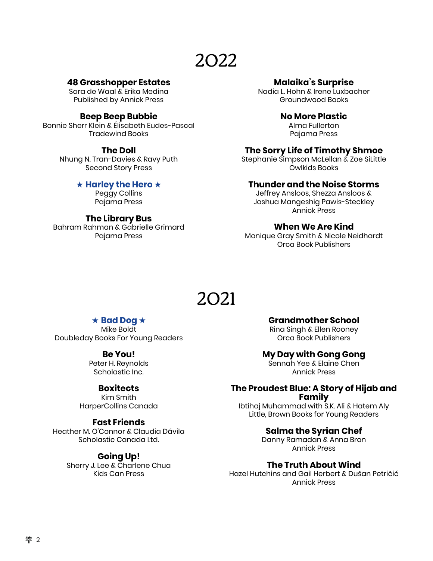#### **48 Grasshopper Estates**

Sara de Waal & Erika Medina Published by Annick Press

#### **Beep Beep Bubbie**

Bonnie Sherr Klein & Élisabeth Eudes-Pascal Tradewind Books

#### **The Doll**

Nhung N. Tran-Davies & Ravy Puth Second Story Press

#### ★ **Harley the Hero** ★

Peggy Collins Pajama Press

#### **The Library Bus**

Bahram Rahman & Gabrielle Grimard Pajama Press

#### **Malaika's Surprise**

Nadia L. Hohn & Irene Luxbacher Groundwood Books

#### **No More Plastic**

Alma Fullerton Pajama Press

#### **The Sorry Life of Timothy Shmoe**

Stephanie Simpson McLellan & Zoe SiLittle Owlkids Books

#### **Thunder and the Noise Storms**

Jeffrey Ansloos, Shezza Ansloos & Joshua Mangeshig Pawis-Steckley Annick Press

#### **When We Are Kind**

Monique Gray Smith & Nicole Neidhardt Orca Book Publishers

## 2021

#### ★ **Bad Dog** ★

Mike Boldt Doubleday Books For Young Readers

#### **Be You!**

Peter H. Reynolds Scholastic Inc.

#### **Boxitects**

Kim Smith HarperCollins Canada

#### **Fast Friends**

Heather M. O'Connor & Claudia Dávila Scholastic Canada Ltd.

#### **Going Up!**

Sherry J. Lee & Charlene Chua Kids Can Press

#### **Grandmother School**

Rina Singh & Ellen Rooney Orca Book Publishers

#### **My Day with Gong Gong**

Sennah Yee & Elaine Chen Annick Press

#### **The Proudest Blue: A Story of Hijab and Family**

Ibtihaj Muhammad with S.K. Ali & Hatem Aly Little, Brown Books for Young Readers

#### **Salma the Syrian Chef**

Danny Ramadan & Anna Bron Annick Press

#### **The Truth About Wind**

Hazel Hutchins and Gail Herbert & Dušan Petričić Annick Press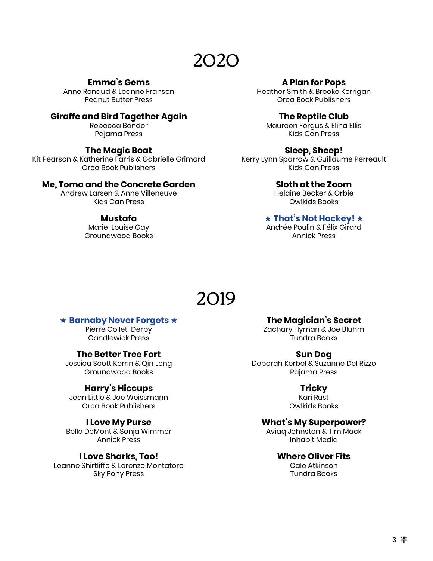#### **Emma's Gems**

Anne Renaud & Leanne Franson Peanut Butter Press

#### **Giraffe and Bird Together Again**

Rebecca Bender Pajama Press

#### **The Magic Boat**

Kit Pearson & Katherine Farris & Gabrielle Grimard Orca Book Publishers

#### **Me, Toma and the Concrete Garden**

Andrew Larsen & Anne Villeneuve Kids Can Press

#### **Mustafa**

Marie-Louise Gay Groundwood Books

#### **A Plan for Pops**

Heather Smith & Brooke Kerrigan Orca Book Publishers

#### **The Reptile Club**

Maureen Fergus & Elina Ellis Kids Can Press

#### **Sleep, Sheep!**

Kerry Lynn Sparrow & Guillaume Perreault Kids Can Press

#### **Sloth at the Zoom**

Helaine Becker & Orbie Owlkids Books

#### ★ **That's Not Hockey!** ★

Andrée Poulin & Félix Girard Annick Press

### 2019

#### ★ **Barnaby Never Forgets** ★

Pierre Collet-Derby Candlewick Press

#### **The Better Tree Fort**

Jessica Scott Kerrin & Qin Leng Groundwood Books

#### **Harry's Hiccups**

Jean Little & Joe Weissmann Orca Book Publishers

#### **I Love My Purse**

Belle DeMont & Sonja Wimmer Annick Press

#### **I Love Sharks, Too!**

Leanne Shirtliffe & Lorenzo Montatore Sky Pony Press

**The Magician's Secret**

Zachary Hyman & Joe Bluhm Tundra Books

#### **Sun Dog**

Deborah Kerbel & Suzanne Del Rizzo Pajama Press

#### **Tricky**

Kari Rust Owlkids Books

#### **What's My Superpower?**

Aviaq Johnston & Tim Mack Inhabit Media

#### **Where Oliver Fits**

Cale Atkinson Tundra Books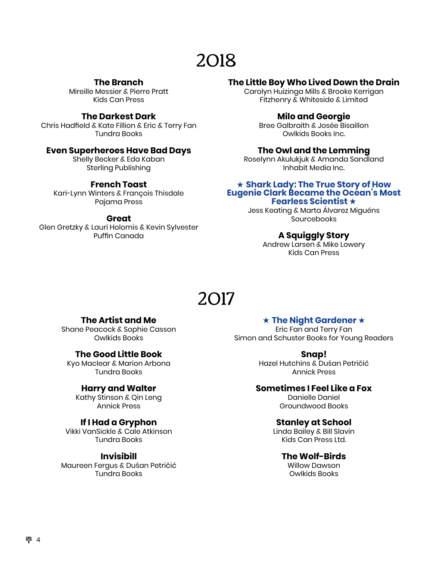#### **The Branch**

Mireille Messier & Pierre Pratt Kids Can Press

#### **The Darkest Dark**

Chris Hadfield & Kate Fillion & Eric & Terry Fan Tundra Books

#### **Even Superheroes Have Bad Days**

Shelly Becker & Eda Kaban Sterling Publishing

#### **French Toast**

Kari-Lynn Winters & François Thisdale Pajama Press

#### **Great**

Glen Gretzky & Lauri Holomis & Kevin Sylvester Puffin Canada

#### **The Little Boy Who Lived Down the Drain**

Carolyn Huizinga Mills & Brooke Kerrigan Fitzhenry & Whiteside & Limited

#### **Milo and Georgie**

Bree Galbraith & Josée Bisaillon Owlkids Books Inc.

#### **The Owl and the Lemming**

Roselynn Akulukjuk & Amanda Sandland Inhabit Media Inc.

#### ★ **Shark Lady: The True Story of How Eugenie Clark Became the Ocean's Most Fearless Scientist** ★

Jess Keating & Marta Álvarez Miguéns **Sourcebooks** 

#### **A Squiggly Story**

Andrew Larsen & Mike Lowery Kids Can Press

## 2017

#### **The Artist and Me**

Shane Peacock & Sophie Casson Owlkids Books

#### **The Good Little Book**

Kyo Maclear & Marion Arbona Tundra Books

#### **Harry and Walter**

Kathy Stinson & Qin Leng Annick Press

#### **If I Had a Gryphon**

Vikki VanSickle & Cale Atkinson Tundra Books

#### **Invisibill**

Maureen Fergus & Dušan Petričić Tundra Books

★ **The Night Gardener** ★

Eric Fan and Terry Fan Simon and Schuster Books for Young Readers

#### **Snap!**

Hazel Hutchins & Dušan Petričić Annick Press

#### **Sometimes I Feel Like a Fox**

Danielle Daniel Groundwood Books

#### **Stanley at School**

Linda Bailey & Bill Slavin Kids Can Press Ltd.

#### **The Wolf-Birds**

Willow Dawson Owlkids Books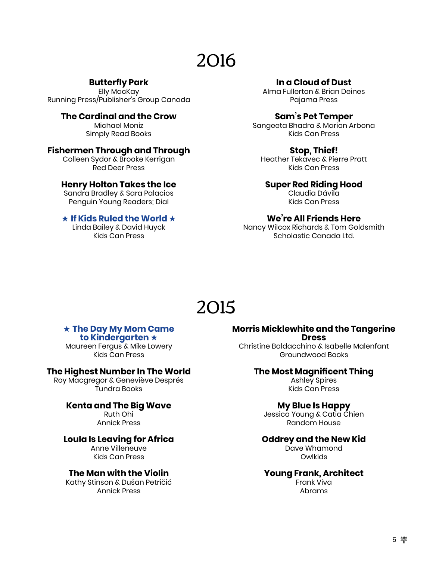#### **Butterfly Park**

Elly MacKay Running Press/Publisher's Group Canada

> **The Cardinal and the Crow** Michael Moniz Simply Read Books

#### **Fishermen Through and Through**

Colleen Sydor & Brooke Kerrigan Red Deer Press

#### **Henry Holton Takes the Ice**

Sandra Bradley & Sara Palacios Penguin Young Readers; Dial

#### ★ **If Kids Ruled the World** ★

Linda Bailey & David Huyck Kids Can Press

#### **In a Cloud of Dust**

Alma Fullerton & Brian Deines Pajama Press

#### **Sam's Pet Temper**

Sangeeta Bhadra & Marion Arbona Kids Can Press

#### **Stop, Thief!**

Heather Tekavec & Pierre Pratt Kids Can Press

#### **Super Red Riding Hood**

Claudia Dávila Kids Can Press

#### **We're All Friends Here**

Nancy Wilcox Richards & Tom Goldsmith Scholastic Canada Ltd.

### 2015

#### ★ **The Day My Mom Came to Kindergarten** ★

Maureen Fergus & Mike Lowery Kids Can Press

#### **The Highest Number In The World**

Roy Macgregor & Geneviève Després Tundra Books

#### **Kenta and The Big Wave**

Ruth Ohi Annick Press

#### **Loula Is Leaving for Africa**

Anne Villeneuve Kids Can Press

#### **The Man with the Violin**

Kathy Stinson & Dušan Petričić Annick Press

#### **Morris Micklewhite and the Tangerine Dress**

Christine Baldacchino & Isabelle Malenfant Groundwood Books

#### **The Most Magnificent Thing**

Ashley Spires Kids Can Press

#### **My Blue Is Happy**

Jessica Young & Catia Chien Random House

#### **Oddrey and the New Kid**

Dave Whamond **Owlkids** 

#### **Young Frank, Architect**

Frank Viva Abrams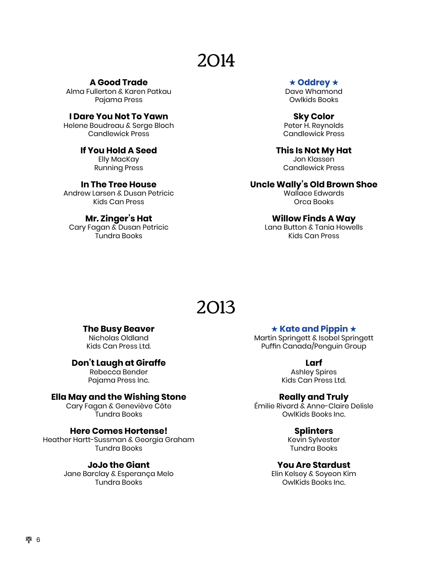**A Good Trade** Alma Fullerton & Karen Patkau Pajama Press

**I Dare You Not To Yawn** Helene Boudreau & Serge Bloch

Candlewick Press

**If You Hold A Seed** Elly MacKay Running Press

**In The Tree House** Andrew Larsen & Dusan Petricic Kids Can Press

**Mr. Zinger's Hat** Cary Fagan & Dusan Petricic Tundra Books

#### ★ **Oddrey** ★

Dave Whamond Owlkids Books

**Sky Color** Peter H. Reynolds Candlewick Press

**This Is Not My Hat** Jon Klassen Candlewick Press

**Uncle Wally's Old Brown Shoe**

Wallace Edwards Orca Books

#### **Willow Finds A Way**

Lana Button & Tania Howells Kids Can Press

## 2013

#### **The Busy Beaver**

Nicholas Oldland Kids Can Press Ltd.

#### **Don't Laugh at Giraffe**

Rebecca Bender Pajama Press Inc.

#### **Ella May and the Wishing Stone**

Cary Fagan & Geneviève Côte Tundra Books

#### **Here Comes Hortense!**

Heather Hartt-Sussman & Georgia Graham Tundra Books

#### **JoJo the Giant**

Jane Barclay & Esperança Melo Tundra Books

#### ★ **Kate and Pippin** ★

Martin Springett & Isobel Springett Puffin Canada/Penguin Group

#### **Larf**

Ashley Spires Kids Can Press Ltd.

#### **Really and Truly**

Émilie Rivard & Anne-Claire Delisle OwlKids Books Inc.

#### **Splinters**

Kevin Sylvester Tundra Books

#### **You Are Stardust**

Elin Kelsey & Soyeon Kim OwlKids Books Inc.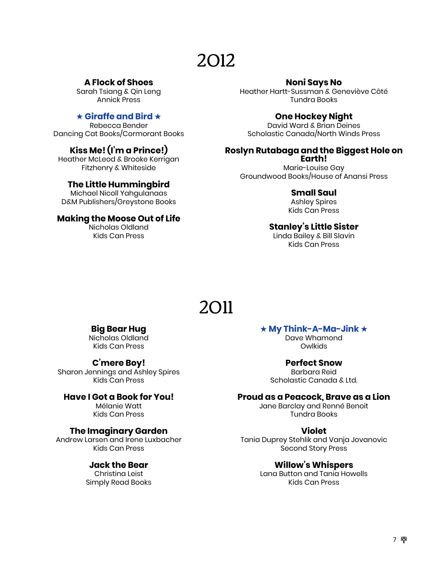#### **A Flock of Shoes**

Sarah Tsiang & Qin Leng Annick Press

#### ★ **Giraffe and Bird** ★

Rebecca Bender Dancing Cat Books/Cormorant Books

#### **Kiss Me! (I'm a Prince!)**

Heather McLeod & Brooke Kerrigan Fitzhenry & Whiteside

#### **The Little Hummingbird**

Michael Nicoll Yahgulanaas D&M Publishers/Greystone Books

#### **Making the Moose Out of Life**

Nicholas Oldland Kids Can Press

#### **Noni Says No**

Heather Hartt-Sussman & Geneviève Côté Tundra Books

#### **One Hockey Night**

David Ward & Brian Deines Scholastic Canada/North Winds Press

#### **Roslyn Rutabaga and the Biggest Hole on Earth!**

Marie-Louise Gay Groundwood Books/House of Anansi Press

#### **Small Saul**

Ashley Spires Kids Can Press

#### **Stanley's Little Sister**

Linda Bailey & Bill Slavin Kids Can Press

## 2011

#### **Big Bear Hug**

Nicholas Oldland Kids Can Press

#### **C'mere Boy!**

Sharon Jennings and Ashley Spires Kids Can Press

#### **Have I Got a Book for You!**

Mélanie Watt Kids Can Press

#### **The Imaginary Garden**

Andrew Larsen and Irene Luxbacher Kids Can Press

#### **Jack the Bear**

Christina Leist Simply Read Books

#### ★ **My Think-A-Ma-Jink** ★

Dave Whamond **Owlkids** 

#### **Perfect Snow**

Barbara Reid Scholastic Canada & Ltd.

#### **Proud as a Peacock, Brave as a Lion**

Jane Barclay and Renné Benoit Tundra Books

#### **Violet**

Tania Duprey Stehlik and Vanja Jovanovic Second Story Press

#### **Willow's Whispers**

Lana Button and Tania Howells Kids Can Press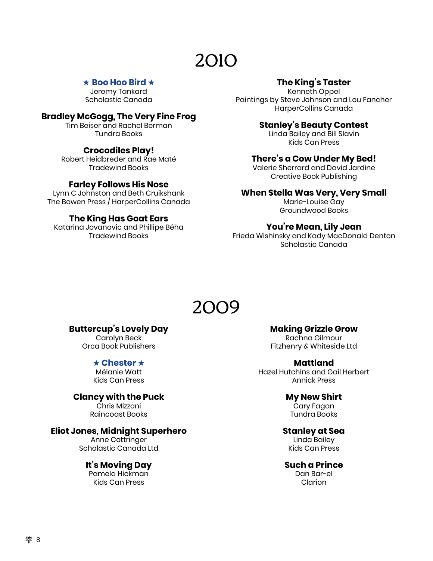#### ★ **Boo Hoo Bird** ★

Jeremy Tankard Scholastic Canada

#### **Bradley McGogg, The Very Fine Frog**

Tim Beiser and Rachel Berman Tundra Books

#### **Crocodiles Play!**

Robert Heidbreder and Rae Maté Tradewind Books

#### **Farley Follows His Nose**

Lynn C Johnston and Beth Cruikshank The Bowen Press / HarperCollins Canada

#### **The King Has Goat Ears**

Katarina Jovanovic and Phillipe Béha Tradewind Books

#### **The King's Taster**

Kenneth Oppel Paintings by Steve Johnson and Lou Fancher HarperCollins Canada

#### **Stanley's Beauty Contest**

Linda Bailey and Bill Slavin Kids Can Press

#### **There's a Cow Under My Bed!**

Valerie Sherrard and David Jardine Creative Book Publishing

#### **When Stella Was Very, Very Small**

Marie-Louise Gay Groundwood Books

#### **You're Mean, Lily Jean**

Frieda Wishinsky and Kady MacDonald Denton Scholastic Canada

### 2009

#### **Buttercup's Lovely Day**

Carolyn Beck Orca Book Publishers

#### ★ **Chester** ★

Mélanie Watt Kids Can Press

#### **Clancy with the Puck**

Chris Mizzoni Raincoast Books

#### **Eliot Jones, Midnight Superhero**

Anne Cottringer Scholastic Canada Ltd

#### **It's Moving Day**

Pamela Hickman Kids Can Press

#### **Making Grizzle Grow**

Rachna Gilmour Fitzhenry & Whiteside Ltd

#### **Mattland**

Hazel Hutchins and Gail Herbert Annick Press

#### **My New Shirt**

Cary Fagan Tundra Books

#### **Stanley at Sea**

Linda Bailey Kids Can Press

#### **Such a Prince**

Dan Bar-el Clarion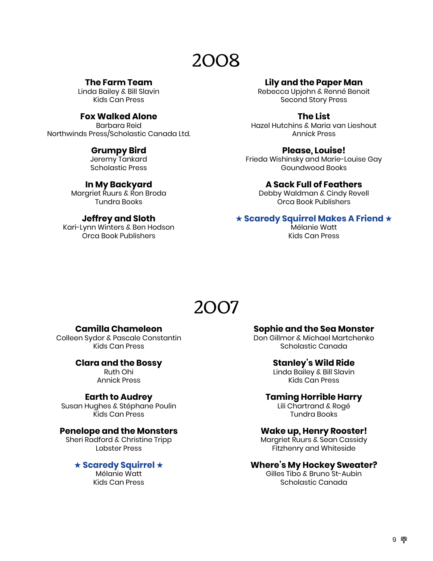#### **The Farm Team**

Linda Bailey & Bill Slavin Kids Can Press

#### **Fox Walked Alone**

Barbara Reid Northwinds Press/Scholastic Canada Ltd.

#### **Grumpy Bird**

Jeremy Tankard Scholastic Press

#### **In My Backyard**

Margriet Ruurs & Ron Broda Tundra Books

#### **Jeffrey and Sloth**

Kari-Lynn Winters & Ben Hodson Orca Book Publishers

#### **Lily and the Paper Man**

Rebecca Upjohn & Renné Benoit Second Story Press

#### **The List**

Hazel Hutchins & Maria van Lieshout Annick Press

#### **Please, Louise!**

Frieda Wishinsky and Marie-Louise Gay Goundwood Books

#### **A Sack Full of Feathers**

Debby Waldman & Cindy Revell Orca Book Publishers

#### ★ **Scaredy Squirrel Makes A Friend** ★

Mélanie Watt Kids Can Press

### 2007

#### **Camilla Chameleon**

Colleen Sydor & Pascale Constantin Kids Can Press

#### **Clara and the Bossy**

Ruth Ohi Annick Press

#### **Earth to Audrey**

Susan Hughes & Stéphane Poulin Kids Can Press

#### **Penelope and the Monsters**

Sheri Radford & Christine Tripp Lobster Press

#### ★ **Scaredy Squirrel** ★

Mélanie Watt Kids Can Press

#### **Sophie and the Sea Monster**

Don Gillmor & Michael Martchenko Scholastic Canada

#### **Stanley's Wild Ride**

Linda Bailey & Bill Slavin Kids Can Press

#### **Taming Horrible Harry**

Lili Chartrand & Rogé Tundra Books

#### **Wake up, Henry Rooster!**

Margriet Ruurs & Sean Cassidy Fitzhenry and Whiteside

#### **Where's My Hockey Sweater?**

Gilles Tibo & Bruno St-Aubin Scholastic Canada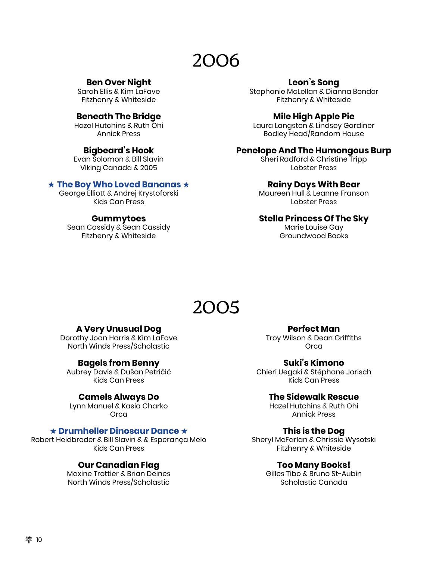#### **Ben Over Night**

Sarah Ellis & Kim LaFave Fitzhenry & Whiteside

#### **Beneath The Bridge**

Hazel Hutchins & Ruth Ohi Annick Press

#### **Bigbeard's Hook**

Evan Solomon & Bill Slavin Viking Canada & 2005

#### ★ **The Boy Who Loved Bananas** ★

George Elliott & Andrej Krystoforski Kids Can Press

#### **Gummytoes**

Sean Cassidy & Sean Cassidy Fitzhenry & Whiteside

#### **Leon's Song**

Stephanie McLellan & Dianna Bonder Fitzhenry & Whiteside

#### **Mile High Apple Pie**

Laura Langston & Lindsey Gardiner Bodley Head/Random House

#### **Penelope And The Humongous Burp**

Sheri Radford & Christine Tripp Lobster Press

#### **Rainy Days With Bear**

Maureen Hull & Leanne Franson Lobster Press

#### **Stella Princess Of The Sky**

Marie Louise Gay Groundwood Books

### 2005

#### **A Very Unusual Dog**

Dorothy Joan Harris & Kim LaFave North Winds Press/Scholastic

#### **Bagels from Benny**

Aubrey Davis & Dušan Petričić Kids Can Press

#### **Camels Always Do**

Lynn Manuel & Kasia Charko **Orca** 

#### ★ **Drumheller Dinosaur Dance** ★

Robert Heidbreder & Bill Slavin & & Esperança Melo Kids Can Press

#### **Our Canadian Flag**

Maxine Trottier & Brian Deines North Winds Press/Scholastic

**Perfect Man** Troy Wilson & Dean Griffiths **Orca** 

**Suki's Kimono** Chieri Uegaki & Stéphane Jorisch Kids Can Press

#### **The Sidewalk Rescue**

Hazel Hutchins & Ruth Ohi Annick Press

#### **This is the Dog**

Sheryl McFarlan & Chrissie Wysotski Fitzhenry & Whiteside

#### **Too Many Books!**

Gilles Tibo & Bruno St-Aubin Scholastic Canada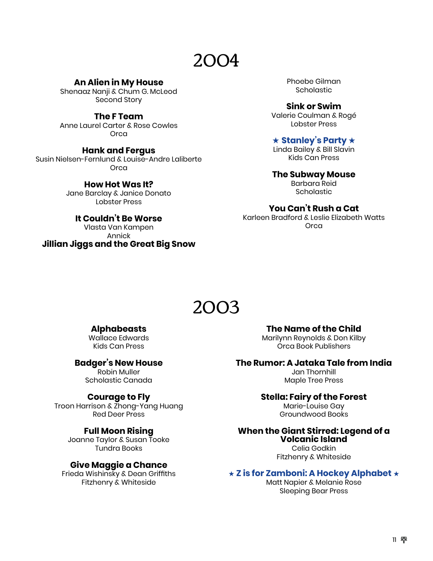**An Alien in My House**

Shenaaz Nanji & Chum G. McLeod Second Story

**The F Team**

Anne Laurel Carter & Rose Cowles **Orca** 

#### **Hank and Fergus**

Susin Nielsen-Fernlund & Louise-Andre Laliberte Orca

> **How Hot Was It?** Jane Barclay & Janice Donato Lobster Press

**It Couldn't Be Worse** Vlasta Van Kampen Annick **Jillian Jiggs and the Great Big Snow** Phoebe Gilman **Scholastic** 

**Sink or Swim** Valerie Coulman & Rogé Lobster Press

#### ★ **Stanley's Party** ★

Linda Bailey & Bill Slavin Kids Can Press

**The Subway Mouse** Barbara Reid **Scholastic** 

#### **You Can't Rush a Cat**

Karleen Bradford & Leslie Elizabeth Watts **Orca** 

### 2003

#### **Alphabeasts**

Wallace Edwards Kids Can Press

**Badger's New House**

Robin Muller Scholastic Canada

#### **Courage to Fly**

Troon Harrison & Zhong-Yang Huang Red Deer Press

#### **Full Moon Rising**

Joanne Taylor & Susan Tooke Tundra Books

#### **Give Maggie a Chance**

Frieda Wishinsky & Dean Griffiths Fitzhenry & Whiteside

**The Name of the Child**

Marilynn Reynolds & Don Kilby Orca Book Publishers

#### **The Rumor: A Jataka Tale from India**

Jan Thornhill Maple Tree Press

#### **Stella: Fairy of the Forest**

Marie-Louise Gay Groundwood Books

#### **When the Giant Stirred: Legend of a Volcanic Island**

Celia Godkin Fitzhenry & Whiteside

#### ★ **Z is for Zamboni: A Hockey Alphabet** ★

Matt Napier & Melanie Rose Sleeping Bear Press